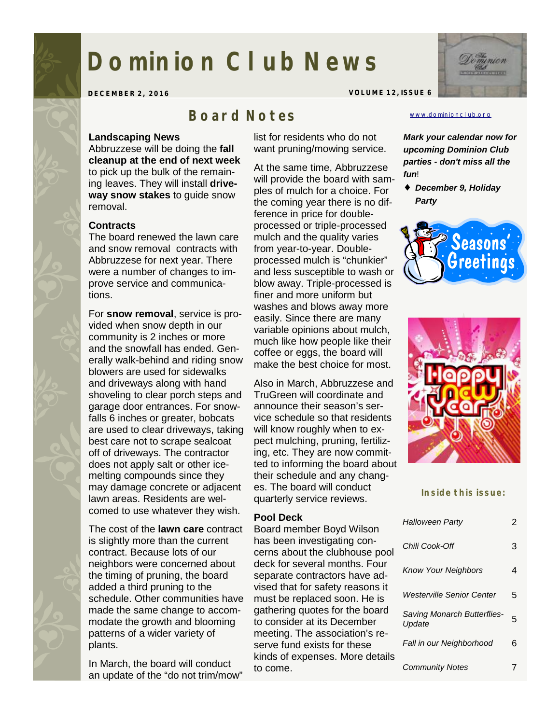# **Dominion Club News**

**DECEMBER 2, 2016 VOLUME 12, ISSUE 6** 

## *Board Notes*

#### **Landscaping News**

Abbruzzese will be doing the **fall cleanup at the end of next week**  to pick up the bulk of the remaining leaves. They will install **driveway snow stakes** to guide snow removal.

#### **Contracts**

The board renewed the lawn care and snow removal contracts with Abbruzzese for next year. There were a number of changes to improve service and communications.

For **snow removal**, service is provided when snow depth in our community is 2 inches or more and the snowfall has ended. Generally walk-behind and riding snow blowers are used for sidewalks and driveways along with hand shoveling to clear porch steps and garage door entrances. For snowfalls 6 inches or greater, bobcats are used to clear driveways, taking best care not to scrape sealcoat off of driveways. The contractor does not apply salt or other icemelting compounds since they may damage concrete or adjacent lawn areas. Residents are welcomed to use whatever they wish.

The cost of the **lawn care** contract is slightly more than the current contract. Because lots of our neighbors were concerned about the timing of pruning, the board added a third pruning to the schedule. Other communities have made the same change to accommodate the growth and blooming patterns of a wider variety of plants.

In March, the board will conduct an update of the "do not trim/mow" list for residents who do not want pruning/mowing service.

At the same time, Abbruzzese will provide the board with samples of mulch for a choice. For the coming year there is no difference in price for doubleprocessed or triple-processed mulch and the quality varies from year-to-year. Doubleprocessed mulch is "chunkier" and less susceptible to wash or blow away. Triple-processed is finer and more uniform but washes and blows away more easily. Since there are many variable opinions about mulch, much like how people like their coffee or eggs, the board will make the best choice for most.

Also in March, Abbruzzese and TruGreen will coordinate and announce their season's service schedule so that residents will know roughly when to expect mulching, pruning, fertilizing, etc. They are now committed to informing the board about their schedule and any changes. The board will conduct quarterly service reviews.

#### **Pool Deck**

Board member Boyd Wilson has been investigating concerns about the clubhouse pool deck for several months. Four separate contractors have advised that for safety reasons it must be replaced soon. He is gathering quotes for the board to consider at its December meeting. The association's reserve fund exists for these kinds of expenses. More details to come.

#### [www.dominionclub.org](http://www.dominionclub.org)

*Mark your calendar now for upcoming Dominion Club parties - don't miss all the fun*!

♦ *December 9, Holiday Party* 





**Inside this issue:** 

| <b>Halloween Party</b>                       | 2 |
|----------------------------------------------|---|
| Chili Cook-Off                               | З |
| <b>Know Your Neighbors</b>                   | 4 |
| Westerville Senior Center                    | 5 |
| <b>Saving Monarch Butterflies-</b><br>Update | 5 |
| Fall in our Neighborhood                     | 6 |
| <b>Community Notes</b>                       |   |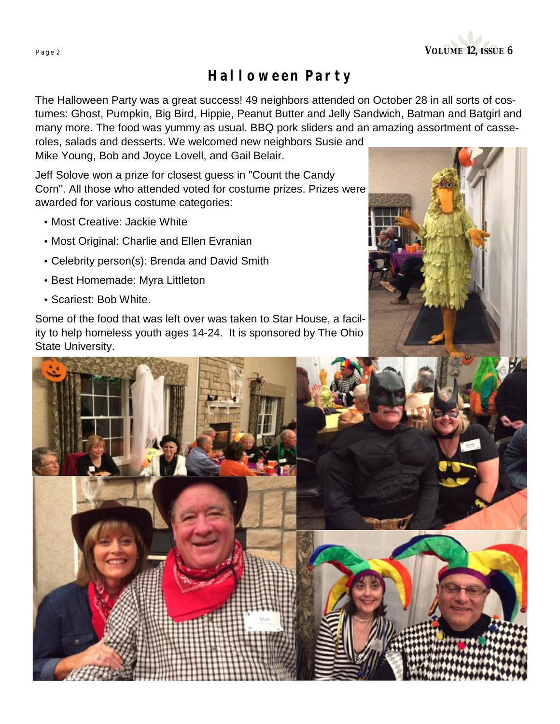

# *Halloween Party*

The Halloween Party was a great success! 49 neighbors attended on October 28 in all sorts of costumes: Ghost, Pumpkin, Big Bird, Hippie, Peanut Butter and Jelly Sandwich, Batman and Batgirl and many more. The food was yummy as usual. BBQ pork sliders and an amazing assortment of casseroles, salads and desserts. We welcomed new neighbors Susie and

Mike Young, Bob and Joyce Lovell, and Gail Belair.

Jeff Solove won a prize for closest guess in "Count the Candy Corn". All those who attended voted for costume prizes. Prizes were awarded for various costume categories:

- Most Creative: Jackie White
- Most Original: Charlie and Ellen Evranian
- Celebrity person(s): Brenda and David Smith
- Best Homemade: Myra Littleton
- Scariest: Bob White.

Some of the food that was left over was taken to Star House, a facility to help homeless youth ages 14-24. It is sponsored by The Ohio State University.



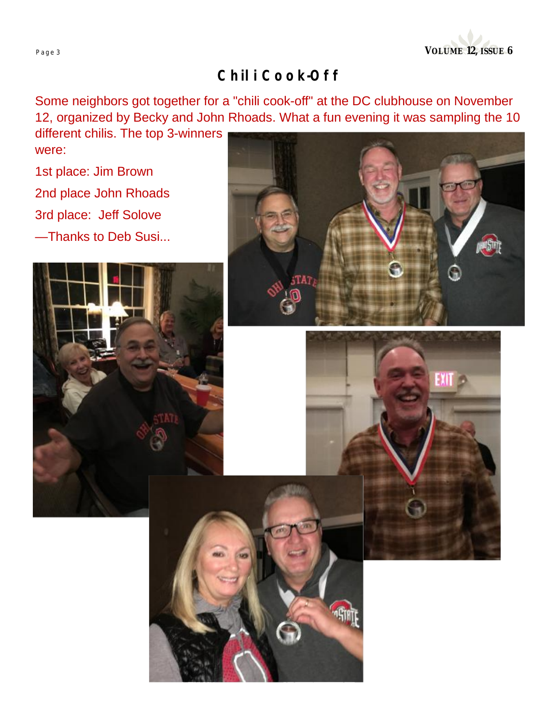

# *Chili Cook-Off*

Some neighbors got together for a "chili cook-off" at the DC clubhouse on November 12, organized by Becky and John Rhoads. What a fun evening it was sampling the 10

different chilis. The top 3-winners were:

1st place: Jim Brown 2nd place John Rhoads 3rd place: Jeff Solove

—Thanks to Deb Susi...





"STAT



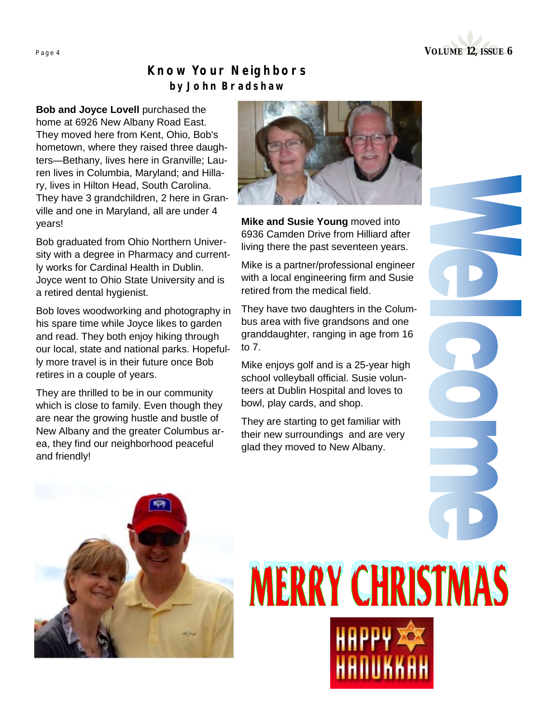

#### *Know Your Neighbors by John Bradshaw*

**Bob and Joyce Lovell** purchased the home at 6926 New Albany Road East. They moved here from Kent, Ohio, Bob's hometown, where they raised three daughters—Bethany, lives here in Granville; Lauren lives in Columbia, Maryland; and Hillary, lives in Hilton Head, South Carolina. They have 3 grandchildren, 2 here in Granville and one in Maryland, all are under 4 years!

Bob graduated from Ohio Northern University with a degree in Pharmacy and currently works for Cardinal Health in Dublin. Joyce went to Ohio State University and is a retired dental hygienist.

Bob loves woodworking and photography in his spare time while Joyce likes to garden and read. They both enjoy hiking through our local, state and national parks. Hopefully more travel is in their future once Bob retires in a couple of years.

They are thrilled to be in our community which is close to family. Even though they are near the growing hustle and bustle of New Albany and the greater Columbus area, they find our neighborhood peaceful and friendly!



**Mike and Susie Young** moved into 6936 Camden Drive from Hilliard after living there the past seventeen years.

Mike is a partner/professional engineer with a local engineering firm and Susie retired from the medical field.

They have two daughters in the Columbus area with five grandsons and one granddaughter, ranging in age from 16 to 7.

Mike enjoys golf and is a 25-year high school volleyball official. Susie volunteers at Dublin Hospital and loves to bowl, play cards, and shop.

They are starting to get familiar with their new surroundings and are very glad they moved to New Albany.



# **MERRY CHRISTMAS**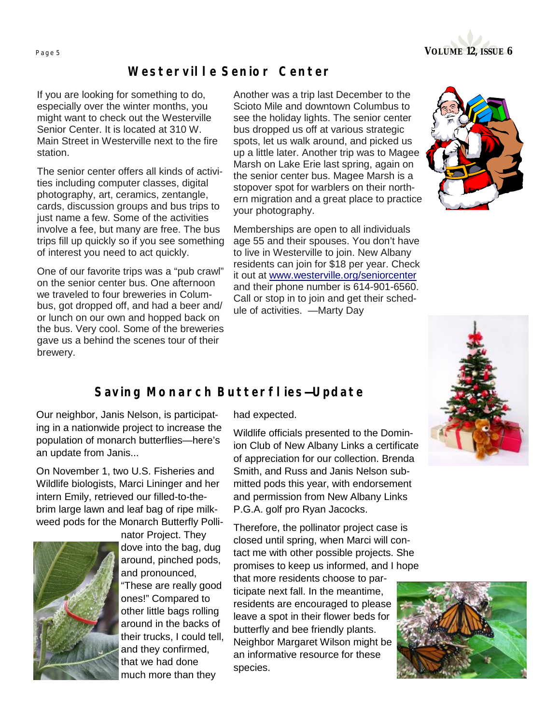

#### *Westerville Senior Center*

If you are looking for something to do, especially over the winter months, you might want to check out the Westerville Senior Center. It is located at 310 W. Main Street in Westerville next to the fire station.

The senior center offers all kinds of activities including computer classes, digital photography, art, ceramics, zentangle, cards, discussion groups and bus trips to just name a few. Some of the activities involve a fee, but many are free. The bus trips fill up quickly so if you see something of interest you need to act quickly.

One of our favorite trips was a "pub crawl" on the senior center bus. One afternoon we traveled to four breweries in Columbus, got dropped off, and had a beer and/ or lunch on our own and hopped back on the bus. Very cool. Some of the breweries gave us a behind the scenes tour of their brewery.

Another was a trip last December to the Scioto Mile and downtown Columbus to see the holiday lights. The senior center bus dropped us off at various strategic spots, let us walk around, and picked us up a little later. Another trip was to Magee Marsh on Lake Erie last spring, again on the senior center bus. Magee Marsh is a stopover spot for warblers on their northern migration and a great place to practice your photography.

Memberships are open to all individuals age 55 and their spouses. You don't have to live in Westerville to join. New Albany residents can join for \$18 per year. Check it out at [www.westerville.org/seniorcenter](http://www.westerville.org/seniorcenter) and their phone number is 614-901-6560. Call or stop in to join and get their schedule of activities. —Marty Day





#### *Saving Monarch Butterflies—Update*

Our neighbor, Janis Nelson, is participating in a nationwide project to increase the population of monarch butterflies—here's an update from Janis...

On November 1, two U.S. Fisheries and Wildlife biologists, Marci Lininger and her intern Emily, retrieved our filled-to-thebrim large lawn and leaf bag of ripe milkweed pods for the Monarch Butterfly Polli-



nator Project. They dove into the bag, dug around, pinched pods, and pronounced, "These are really good ones!" Compared to other little bags rolling around in the backs of their trucks, I could tell, and they confirmed, that we had done much more than they

had expected.

Wildlife officials presented to the Dominion Club of New Albany Links a certificate of appreciation for our collection. Brenda Smith, and Russ and Janis Nelson submitted pods this year, with endorsement and permission from New Albany Links P.G.A. golf pro Ryan Jacocks.

Therefore, the pollinator project case is closed until spring, when Marci will contact me with other possible projects. She promises to keep us informed, and I hope

that more residents choose to participate next fall. In the meantime, residents are encouraged to please leave a spot in their flower beds for butterfly and bee friendly plants. Neighbor Margaret Wilson might be an informative resource for these species.

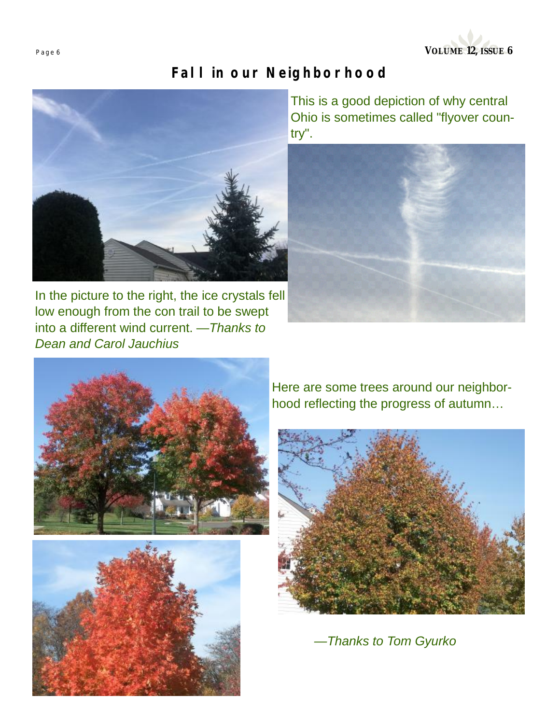**Page <sup>6</sup>VOLUME 12, ISSUE 6** 

# *Fall in our Neighborhood*



In the picture to the right, the ice crystals fell low enough from the con trail to be swept into a different wind current. —*Thanks to Dean and Carol Jauchius*

This is a good depiction of why central Ohio is sometimes called "flyover country".







Here are some trees around our neighborhood reflecting the progress of autumn…



*—Thanks to Tom Gyurko*